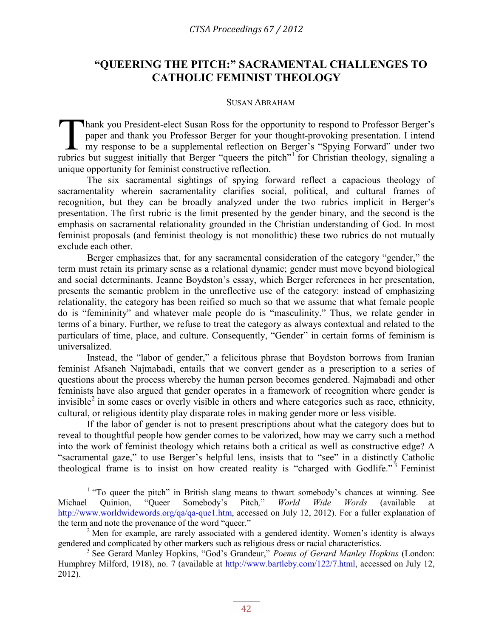## **"QUEERING THE PITCH:" SACRAMENTAL CHALLENGES TO CATHOLIC FEMINIST THEOLOGY**

## SUSAN ABRAHAM

hank you President-elect Susan Ross for the opportunity to respond to Professor Berger's paper and thank you Professor Berger for your thought-provoking presentation. I intend my response to be a supplemental reflection on Berger's "Spying Forward" under two Thank you President-elect Susan Ross for the opportunity to respond to Professor Berger's paper and thank you Professor Berger for your thought-provoking presentation. I intend my response to be a supplemental reflection o unique opportunity for feminist constructive reflection.

The six sacramental sightings of spying forward reflect a capacious theology of sacramentality wherein sacramentality clarifies social, political, and cultural frames of recognition, but they can be broadly analyzed under the two rubrics implicit in Berger's presentation. The first rubric is the limit presented by the gender binary, and the second is the emphasis on sacramental relationality grounded in the Christian understanding of God. In most feminist proposals (and feminist theology is not monolithic) these two rubrics do not mutually exclude each other.

Berger emphasizes that, for any sacramental consideration of the category "gender," the term must retain its primary sense as a relational dynamic; gender must move beyond biological and social determinants. Jeanne Boydston's essay, which Berger references in her presentation, presents the semantic problem in the unreflective use of the category: instead of emphasizing relationality, the category has been reified so much so that we assume that what female people do is "femininity" and whatever male people do is "masculinity." Thus, we relate gender in terms of a binary. Further, we refuse to treat the category as always contextual and related to the particulars of time, place, and culture. Consequently, "Gender" in certain forms of feminism is universalized.

Instead, the "labor of gender," a felicitous phrase that Boydston borrows from Iranian feminist Afsaneh Najmabadi, entails that we convert gender as a prescription to a series of questions about the process whereby the human person becomes gendered. Najmabadi and other feminists have also argued that gender operates in a framework of recognition where gender is invisible<sup>[2](#page-0-0)</sup> in some cases or overly visible in others and where categories such as race, ethnicity, cultural, or religious identity play disparate roles in making gender more or less visible.

If the labor of gender is not to present prescriptions about what the category does but to reveal to thoughtful people how gender comes to be valorized, how may we carry such a method into the work of feminist theology which retains both a critical as well as constructive edge? A "sacramental gaze," to use Berger's helpful lens, insists that to "see" in a distinctly Catholic theological frame is to insist on how created reality is "charged with Godlife."<sup>[3](#page-0-1)</sup> Feminist

<sup>&</sup>lt;sup>1</sup> "To queer the pitch" in British slang means to thwart somebody's chances at winning. See<br>
1 Quinion, "Queer Somebody's Pitch," *World Wide Words* (available at Michael Quinion, "Queer Somebody's Pitch*,*" *World Wide Words* (available at [http://www.worldwidewords.org/qa/qa-que1.htm,](http://www.worldwidewords.org/qa/qa-que1.htm) accessed on July 12, 2012). For a fuller explanation of the term and note the provenance of the word "queer."

<span id="page-0-0"></span> $2$  Men for example, are rarely associated with a gendered identity. Women's identity is always gendered and complicated by other markers such as religious dress or racial characteristics.

<span id="page-0-1"></span><sup>3</sup> See Gerard Manley Hopkins, "God's Grandeur," *Poems of Gerard Manley Hopkins* (London: Humphrey Milford, 1918), no. 7 (available at [http://www.bartleby.com/122/7.html,](http://www.bartleby.com/122/7.html) accessed on July 12, 2012).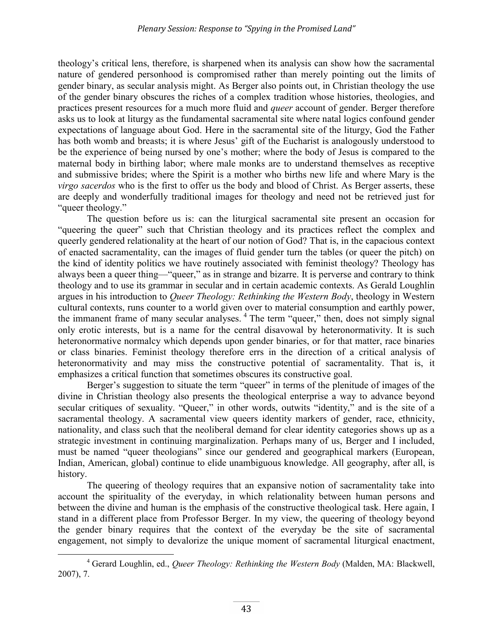theology's critical lens, therefore, is sharpened when its analysis can show how the sacramental nature of gendered personhood is compromised rather than merely pointing out the limits of gender binary, as secular analysis might. As Berger also points out, in Christian theology the use of the gender binary obscures the riches of a complex tradition whose histories, theologies, and practices present resources for a much more fluid and *queer* account of gender. Berger therefore asks us to look at liturgy as the fundamental sacramental site where natal logics confound gender expectations of language about God. Here in the sacramental site of the liturgy, God the Father has both womb and breasts; it is where Jesus' gift of the Eucharist is analogously understood to be the experience of being nursed by one's mother; where the body of Jesus is compared to the maternal body in birthing labor; where male monks are to understand themselves as receptive and submissive brides; where the Spirit is a mother who births new life and where Mary is the *virgo sacerdos* who is the first to offer us the body and blood of Christ. As Berger asserts, these are deeply and wonderfully traditional images for theology and need not be retrieved just for "queer theology."

 The question before us is: can the liturgical sacramental site present an occasion for "queering the queer" such that Christian theology and its practices reflect the complex and queerly gendered relationality at the heart of our notion of God? That is, in the capacious context of enacted sacramentality, can the images of fluid gender turn the tables (or queer the pitch) on the kind of identity politics we have routinely associated with feminist theology? Theology has always been a queer thing—"queer," as in strange and bizarre. It is perverse and contrary to think theology and to use its grammar in secular and in certain academic contexts. As Gerald Loughlin argues in his introduction to *Queer Theology: Rethinking the Western Body*, theology in Western cultural contexts, runs counter to a world given over to material consumption and earthly power, the immanent frame of many secular analyses.<sup>[4](#page--1-1)</sup> The term "queer," then, does not simply signal only erotic interests, but is a name for the central disavowal by heteronormativity. It is such heteronormative normalcy which depends upon gender binaries, or for that matter, race binaries or class binaries. Feminist theology therefore errs in the direction of a critical analysis of heteronormativity and may miss the constructive potential of sacramentality. That is, it emphasizes a critical function that sometimes obscures its constructive goal.

Berger's suggestion to situate the term "queer" in terms of the plenitude of images of the divine in Christian theology also presents the theological enterprise a way to advance beyond secular critiques of sexuality. "Queer," in other words, outwits "identity," and is the site of a sacramental theology. A sacramental view queers identity markers of gender, race, ethnicity, nationality, and class such that the neoliberal demand for clear identity categories shows up as a strategic investment in continuing marginalization. Perhaps many of us, Berger and I included, must be named "queer theologians" since our gendered and geographical markers (European, Indian, American, global) continue to elide unambiguous knowledge. All geography, after all, is history.

The queering of theology requires that an expansive notion of sacramentality take into account the spirituality of the everyday, in which relationality between human persons and between the divine and human is the emphasis of the constructive theological task. Here again, I stand in a different place from Professor Berger. In my view, the queering of theology beyond the gender binary requires that the context of the everyday be the site of sacramental engagement, not simply to devalorize the unique moment of sacramental liturgical enactment,

<sup>4</sup> Gerard Loughlin, ed., *Queer Theology: Rethinking the Western Body* (Malden, MA: Blackwell, 2007), 7.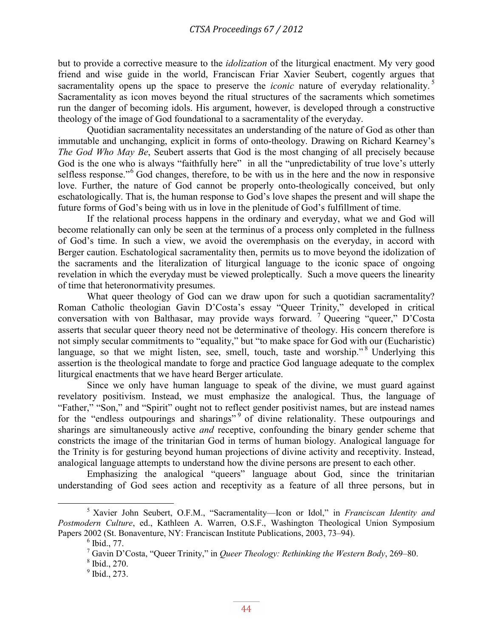but to provide a corrective measure to the *idolization* of the liturgical enactment. My very good friend and wise guide in the world, Franciscan Friar Xavier Seubert, cogently argues that sacramentality opens up the space to preserve the *iconic* nature of everyday relationality. [5](#page--1-2) Sacramentality as icon moves beyond the ritual structures of the sacraments which sometimes run the danger of becoming idols. His argument, however, is developed through a constructive theology of the image of God foundational to a sacramentality of the everyday.

Quotidian sacramentality necessitates an understanding of the nature of God as other than immutable and unchanging, explicit in forms of onto-theology. Drawing on Richard Kearney's *The God Who May Be*, Seubert asserts that God is the most changing of all precisely because God is the one who is always "faithfully here" in all the "unpredictability of true love's utterly selfless response."<sup>[6](#page-2-0)</sup> God changes, therefore, to be with us in the here and the now in responsive love. Further, the nature of God cannot be properly onto-theologically conceived, but only eschatologically. That is, the human response to God's love shapes the present and will shape the future forms of God's being with us in love in the plenitude of God's fulfillment of time.

If the relational process happens in the ordinary and everyday, what we and God will become relationally can only be seen at the terminus of a process only completed in the fullness of God's time. In such a view, we avoid the overemphasis on the everyday, in accord with Berger caution. Eschatological sacramentality then, permits us to move beyond the idolization of the sacraments and the literalization of liturgical language to the iconic space of ongoing revelation in which the everyday must be viewed proleptically. Such a move queers the linearity of time that heteronormativity presumes.

What queer theology of God can we draw upon for such a quotidian sacramentality? Roman Catholic theologian Gavin D'Costa's essay "Queer Trinity," developed in critical conversation with von Balthasar, may provide ways forward. [7](#page-2-1) Queering "queer," D'Costa asserts that secular queer theory need not be determinative of theology. His concern therefore is not simply secular commitments to "equality," but "to make space for God with our (Eucharistic) language, so that we might listen, see, smell, touch, taste and worship."<sup>[8](#page-2-2)</sup> Underlying this assertion is the theological mandate to forge and practice God language adequate to the complex liturgical enactments that we have heard Berger articulate.

Since we only have human language to speak of the divine, we must guard against revelatory positivism. Instead, we must emphasize the analogical. Thus, the language of "Father," "Son," and "Spirit" ought not to reflect gender positivist names, but are instead names for the "endless outpourings and sharings"<sup>[9](#page-2-3)</sup> of divine relationality. These outpourings and sharings are simultaneously active *and* receptive, confounding the binary gender scheme that constricts the image of the trinitarian God in terms of human biology. Analogical language for the Trinity is for gesturing beyond human projections of divine activity and receptivity. Instead, analogical language attempts to understand how the divine persons are present to each other.

Emphasizing the analogical "queers" language about God, since the trinitarian understanding of God sees action and receptivity as a feature of all three persons, but in

<span id="page-2-3"></span><span id="page-2-2"></span><span id="page-2-1"></span><span id="page-2-0"></span><sup>5</sup> Xavier John Seubert, O.F.M., "Sacramentality—Icon or Idol," in *Franciscan Identity and Postmodern Culture*, ed., Kathleen A. Warren, O.S.F., Washington Theological Union Symposium Papers 2002 (St. Bonaventure, NY: Franciscan Institute Publications, 2003, 73–94).

 $<sup>6</sup>$  Ibid., 77.</sup>

<sup>7</sup> Gavin D'Costa, "Queer Trinity," in *Queer Theology: Rethinking the Western Body*, 269–80.

<sup>8</sup> Ibid., 270.

<sup>&</sup>lt;sup>9</sup> Ibid., 273.